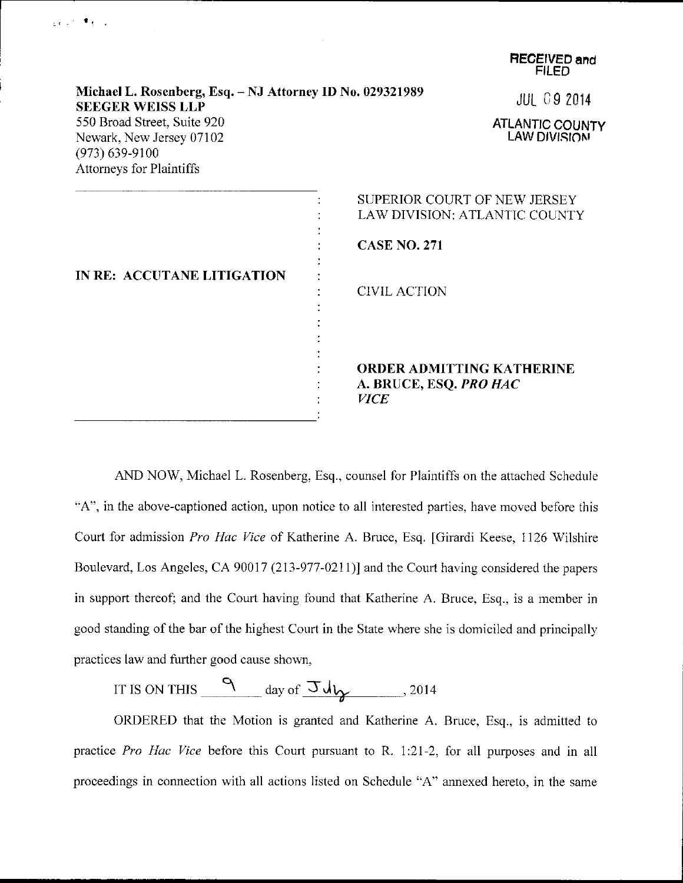|                                                                                                           | <b>FILED</b>                                                              |
|-----------------------------------------------------------------------------------------------------------|---------------------------------------------------------------------------|
| Michael L. Rosenberg, Esq. - NJ Attorney ID No. 029321989<br><b>SEEGER WEISS LLP</b>                      | <b>JUL 09 2014</b>                                                        |
| 550 Broad Street, Suite 920<br>Newark, New Jersey 07102<br>$(973) 639 - 9100$<br>Attorneys for Plaintiffs | <b>ATLANTIC COUNTY</b><br><b>LAW DIVISION</b>                             |
|                                                                                                           | SUPERIOR COURT OF NEW JERSEY<br>LAW DIVISION: ATLANTIC COUNTY             |
|                                                                                                           | <b>CASE NO. 271</b>                                                       |
| IN RE: ACCUTANE LITIGATION                                                                                | <b>CIVIL ACTION</b>                                                       |
|                                                                                                           | <b>ORDER ADMITTING KATHERINE</b><br>A. BRUCE, ESQ. PRO HAC<br><b>VICE</b> |

 $\frac{1}{2}$  (  $\frac{1}{2}$  )  $\frac{1}{2}$   $\frac{1}{2}$   $\frac{1}{2}$   $\frac{1}{2}$ 

**RECEIVED and** 

AND NOW, Michael L. Rosenberg, Esq., counsel for Plaintiffs on the attached Schedule "A", in the above-captioned action, upon notice to all interested parties, have moved before this Court for admission Pro Hac Vice of Katherine A. Bruce, Esq. [Girardi Keese, 1126 Wilshire Boulevard, Los Angeles, CA 90017 (213-971-0211)) and the Court having considered the papers in support thereof; and the Court having found that Katherine A. Bruce, Esq., is a member in good standing of the bar of the highest Court in the State where she is domiciled and principally practices law and further good cause shown,

IT IS ON THIS A aai .\_-\_\_\_1,-- ol JJ\.,- .lot4

ORDERED that the Motion is granted and Katherine A. Bruce, Esq.. is admitted to practice Pro Hac Vice before this Court pursuant to R. 1:21-2, for all purposes and in all proceedings in connection with all actions listed on Schedule "A" annexed hereto, in the same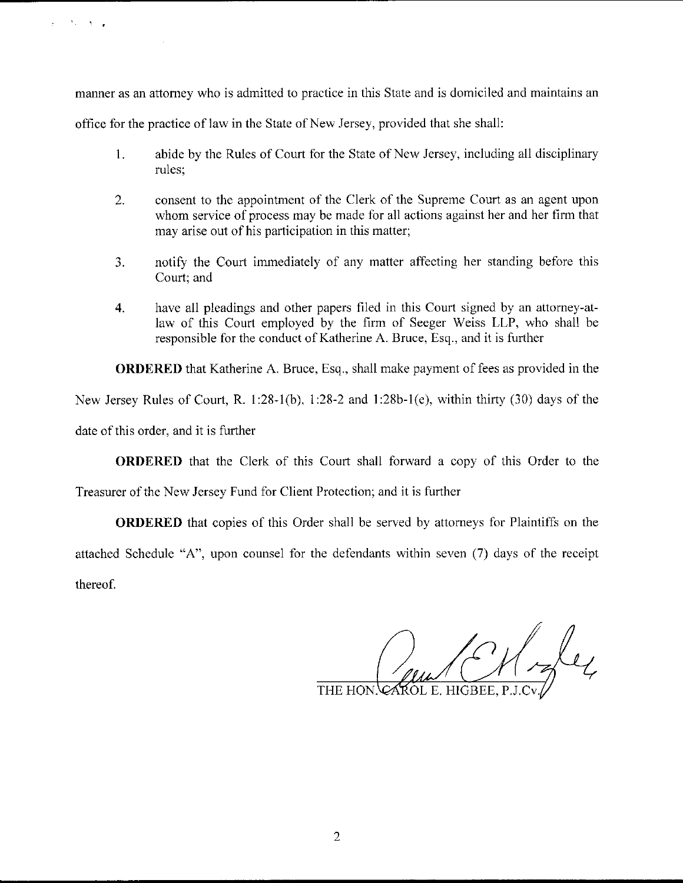manner as an attorney who is admitted to practice in this State and is domiciled and maintains an

office for the practice of law in the State of New Jersey, provided that she shall:

- <sup>1</sup>. abide by the Rules of Court for the State of New Jersey, including all disciplinary rules;
- 2. consent to the appointment of the Clerk of the Supreme Court as an agent upon whom service of process may be made for all actions against her and her firm that may arise out of his participation in this matter;
- 3. notify the Court immediately of any matter aflecting her standing before this Court; and
- 4. have all pleadings and other papers filed in this Court signed by an attorney-atlaw of this Court employed by the firm of Seeger Weiss LLP, who shall be responsible for the conduct of Katherine A. Bruce, Esq., and it is further

ORDERED that Katherine A. Bruce, Esq., shall make payment of lees as provided in the

New Jersey Rules of Court, R. 1:28-1(b), 1:28-2 and 1:28b-1(e), within thirty (30) days of the

date of this order, and it is further

ORDERED that the Clerk of this Court shall forward a copy of this Order to the

Treasurer of the New Jersey Fund for Client Protection; and it is further

ORDERED that copies of this Order shall be served by attomeys for Plaintiffs on the attached Schedule "A", upon counsel for the defendants within seven (7) days of the receipt thereof.

CAROL E. HIGBEE, P.